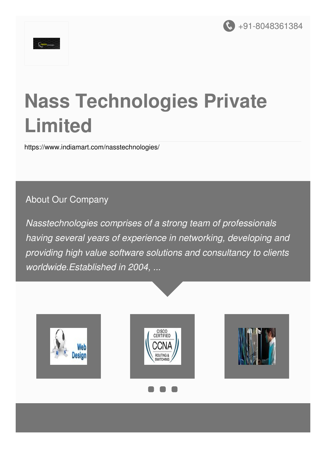



# **Nass Technologies Private Limited**

<https://www.indiamart.com/nasstechnologies/>

#### About Our Company

*Nasstechnologies comprises of a strong team of professionals having several years of experience in networking, developing and providing high value software solutions and consultancy to clients worldwide.Established in 2004, ...*





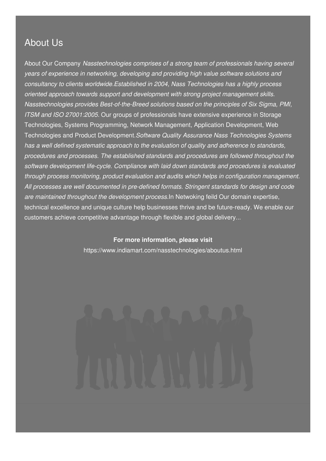### About Us

About Our Company *Nasstechnologies comprises of a strong team of professionals having several years of experience in networking, developing and providing high value software solutions and consultancy to clients worldwide.Established in 2004, Nass Technologies has a highly process oriented approach towards support and development with strong project management skills. Nasstechnologies provides Best-of-the-Breed solutions based on the principles of Six Sigma, PMI, ITSM and ISO 27001:2005.* Our groups of professionals have extensive experience in Storage Technologies, Systems Programming, Network Management, Application Development, Web Technologies and Product Development.*Software Quality Assurance Nass Technologies Systems has a well defined systematic approach to the evaluation of quality and adherence to standards, procedures and processes. The established standards and procedures are followed throughout the software development life-cycle. Compliance with laid down standards and procedures is evaluated through process monitoring, product evaluation and audits which helps in configuration management. All processes are well documented in pre-defined formats. Stringent standards for design and code are maintained throughout the development process.*In Netwoking feild Our domain expertise, technical excellence and unique culture help businesses thrive and be future-ready. We enable our customers achieve competitive advantage through flexible and global delivery...

> **For more information, please visit** <https://www.indiamart.com/nasstechnologies/aboutus.html>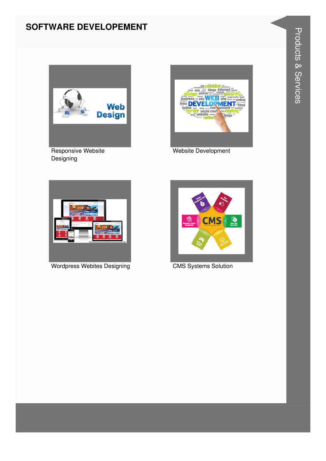#### **SOFTWARE DEVELOPEMENT**



**Designing** 



Website Development



Wordpress Webites Designing **CMS** Systems Solution

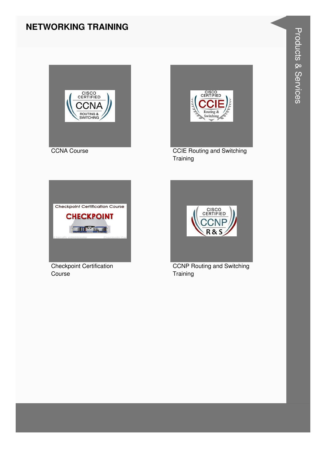#### **NETWORKING TRAINING**





**CCIE Routing and Switching** Training



**Checkpoint Certification** Course



**CCNP Routing and Switching** Training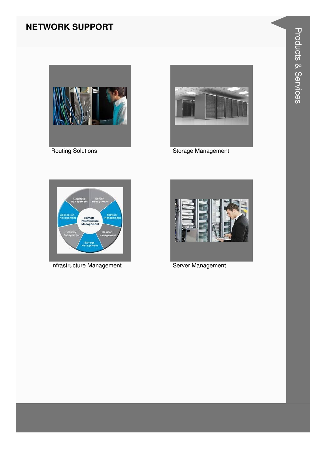### **NETWORK SUPPORT**



**Routing Solutions** 



Storage Management



Infrastructure Management



Server Management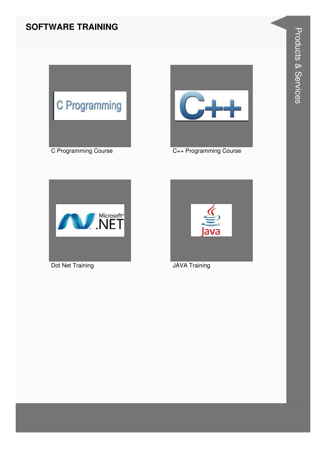#### **SOFTWARE TRAINING**





C++ Programming Course



Dot Net Training



**JAVA Training**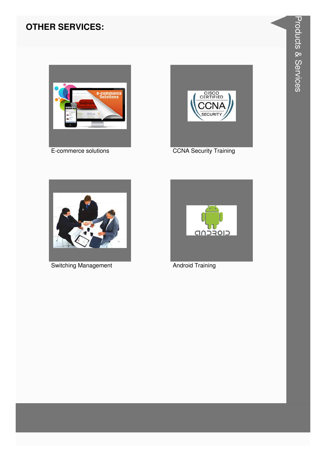#### **OTHER SERVICES:**



E-commerce solutions



**CCNA Security Training** 



**Switching Management** 



**Android Training**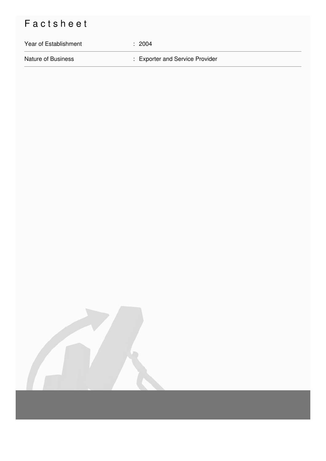## Factsheet

# Year of Establishment : 2004 Nature of Business **in American** Exporter and Service Provider